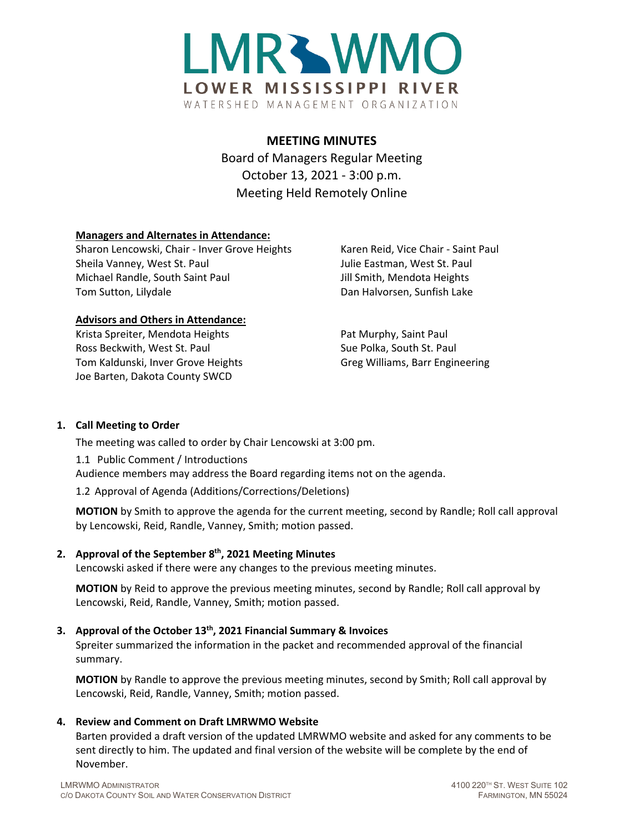

# **MEETING MINUTES**

Board of Managers Regular Meeting October 13, 2021 - 3:00 p.m. Meeting Held Remotely Online

## **Managers and Alternates in Attendance:**

Sharon Lencowski, Chair - Inver Grove Heights Karen Reid, Vice Chair - Saint Paul Sheila Vanney, West St. Paul Vanney and Julie Eastman, West St. Paul Michael Randle, South Saint Paul Jill Smith, Mendota Heights Tom Sutton, Lilydale Dan Halvorsen, Sunfish Lake

#### **Advisors and Others in Attendance:**

Krista Spreiter, Mendota Heights Pat Murphy, Saint Paul Ross Beckwith, West St. Paul Sue Polka, South St. Paul Tom Kaldunski, Inver Grove Heights Group Greg Williams, Barr Engineering Joe Barten, Dakota County SWCD

#### **1. Call Meeting to Order**

The meeting was called to order by Chair Lencowski at 3:00 pm.

1.1 Public Comment / Introductions Audience members may address the Board regarding items not on the agenda.

1.2 Approval of Agenda (Additions/Corrections/Deletions)

**MOTION** by Smith to approve the agenda for the current meeting, second by Randle; Roll call approval by Lencowski, Reid, Randle, Vanney, Smith; motion passed.

#### **2. Approval of the September 8th, 2021 Meeting Minutes**

Lencowski asked if there were any changes to the previous meeting minutes.

**MOTION** by Reid to approve the previous meeting minutes, second by Randle; Roll call approval by Lencowski, Reid, Randle, Vanney, Smith; motion passed.

# **3. Approval of the October 13th, 2021 Financial Summary & Invoices**

Spreiter summarized the information in the packet and recommended approval of the financial summary.

**MOTION** by Randle to approve the previous meeting minutes, second by Smith; Roll call approval by Lencowski, Reid, Randle, Vanney, Smith; motion passed.

#### **4. Review and Comment on Draft LMRWMO Website**

Barten provided a draft version of the updated LMRWMO website and asked for any comments to be sent directly to him. The updated and final version of the website will be complete by the end of November.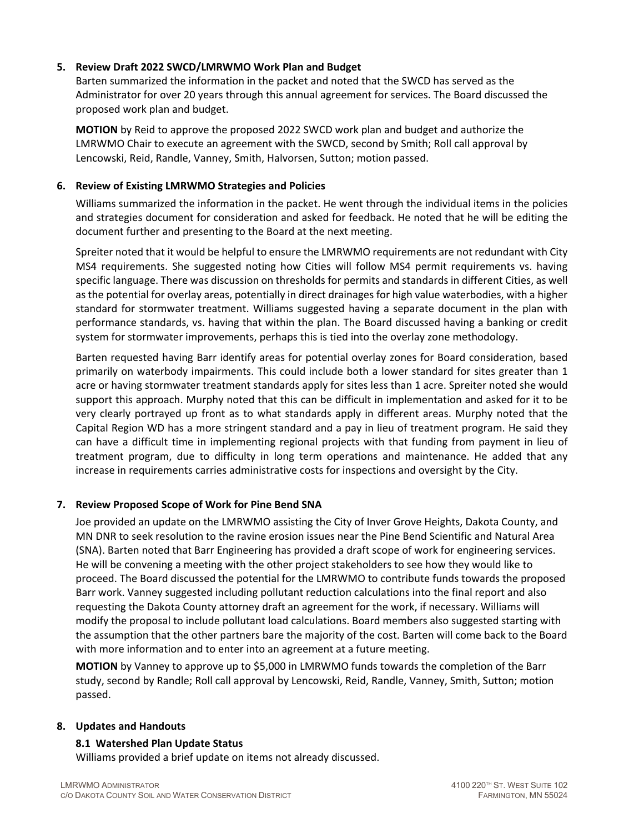## **5. Review Draft 2022 SWCD/LMRWMO Work Plan and Budget**

Barten summarized the information in the packet and noted that the SWCD has served as the Administrator for over 20 years through this annual agreement for services. The Board discussed the proposed work plan and budget.

**MOTION** by Reid to approve the proposed 2022 SWCD work plan and budget and authorize the LMRWMO Chair to execute an agreement with the SWCD, second by Smith; Roll call approval by Lencowski, Reid, Randle, Vanney, Smith, Halvorsen, Sutton; motion passed.

### **6. Review of Existing LMRWMO Strategies and Policies**

Williams summarized the information in the packet. He went through the individual items in the policies and strategies document for consideration and asked for feedback. He noted that he will be editing the document further and presenting to the Board at the next meeting.

Spreiter noted that it would be helpful to ensure the LMRWMO requirements are not redundant with City MS4 requirements. She suggested noting how Cities will follow MS4 permit requirements vs. having specific language. There was discussion on thresholds for permits and standards in different Cities, as well as the potential for overlay areas, potentially in direct drainages for high value waterbodies, with a higher standard for stormwater treatment. Williams suggested having a separate document in the plan with performance standards, vs. having that within the plan. The Board discussed having a banking or credit system for stormwater improvements, perhaps this is tied into the overlay zone methodology.

Barten requested having Barr identify areas for potential overlay zones for Board consideration, based primarily on waterbody impairments. This could include both a lower standard for sites greater than 1 acre or having stormwater treatment standards apply for sites less than 1 acre. Spreiter noted she would support this approach. Murphy noted that this can be difficult in implementation and asked for it to be very clearly portrayed up front as to what standards apply in different areas. Murphy noted that the Capital Region WD has a more stringent standard and a pay in lieu of treatment program. He said they can have a difficult time in implementing regional projects with that funding from payment in lieu of treatment program, due to difficulty in long term operations and maintenance. He added that any increase in requirements carries administrative costs for inspections and oversight by the City.

#### **7. Review Proposed Scope of Work for Pine Bend SNA**

Joe provided an update on the LMRWMO assisting the City of Inver Grove Heights, Dakota County, and MN DNR to seek resolution to the ravine erosion issues near the Pine Bend Scientific and Natural Area (SNA). Barten noted that Barr Engineering has provided a draft scope of work for engineering services. He will be convening a meeting with the other project stakeholders to see how they would like to proceed. The Board discussed the potential for the LMRWMO to contribute funds towards the proposed Barr work. Vanney suggested including pollutant reduction calculations into the final report and also requesting the Dakota County attorney draft an agreement for the work, if necessary. Williams will modify the proposal to include pollutant load calculations. Board members also suggested starting with the assumption that the other partners bare the majority of the cost. Barten will come back to the Board with more information and to enter into an agreement at a future meeting.

**MOTION** by Vanney to approve up to \$5,000 in LMRWMO funds towards the completion of the Barr study, second by Randle; Roll call approval by Lencowski, Reid, Randle, Vanney, Smith, Sutton; motion passed.

#### **8. Updates and Handouts**

#### **8.1 Watershed Plan Update Status**

Williams provided a brief update on items not already discussed.